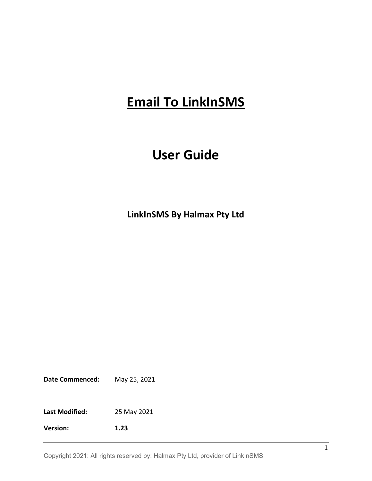# **Email To LinkInSMS**

# **User Guide**

**LinkInSMS By Halmax Pty Ltd**

**Date Commenced:** May 25, 2021

**Last Modified:** 25 May 2021

**Version: 1.23**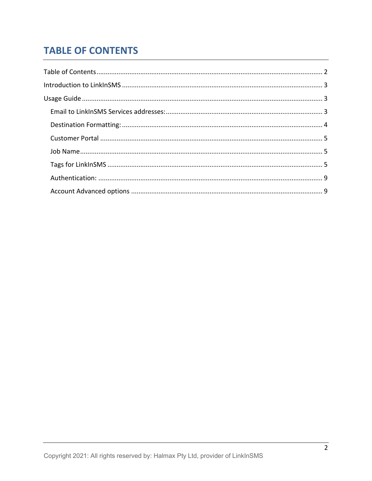# <span id="page-1-0"></span>**TABLE OF CONTENTS**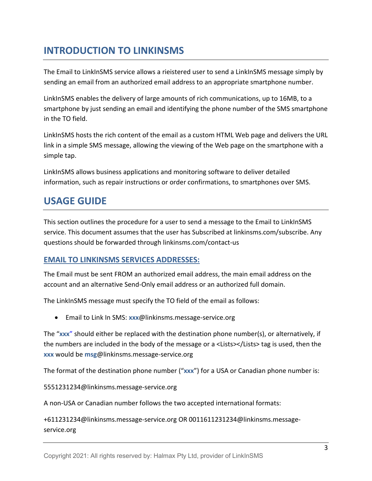# <span id="page-2-0"></span>**INTRODUCTION TO LINKINSMS**

The Email to LinkInSMS service allows a rieistered user to send a LinkInSMS message simply by sending an email from an authorized email address to an appropriate smartphone number.

LinkInSMS enables the delivery of large amounts of rich communications, up to 16MB, to a smartphone by just sending an email and identifying the phone number of the SMS smartphone in the TO field.

LinkInSMS hosts the rich content of the email as a custom HTML Web page and delivers the URL link in a simple SMS message, allowing the viewing of the Web page on the smartphone with a simple tap.

LinkInSMS allows business applications and monitoring software to deliver detailed information, such as repair instructions or order confirmations, to smartphones over SMS.

# <span id="page-2-1"></span>**USAGE GUIDE**

This section outlines the procedure for a user to send a message to the Email to LinkInSMS service. This document assumes that the user has Subscribed at linkinsms.com/subscribe. Any questions should be forwarded through linkinsms.com/contact-us

# <span id="page-2-2"></span>**EMAIL TO LINKINSMS SERVICES ADDRESSES:**

The Email must be sent FROM an authorized email address, the main email address on the account and an alternative Send-Only email address or an authorized full domain.

The LinkInSMS message must specify the TO field of the email as follows:

• Email to Link In SMS: **xxx**@linkinsms.message-service.org

The "**xxx**" should either be replaced with the destination phone number(s), or alternatively, if the numbers are included in the body of the message or a <Lists></Lists> tag is used, then the **xxx** would be **msg**@linkinsms.message-service.org

The format of the destination phone number ("**xxx**") for a USA or Canadian phone number is:

5551231234@linkinsms.message-service.org

A non-USA or Canadian number follows the two accepted international formats:

+611231234@linkinsms.message-service.org OR 0011611231234@linkinsms.messageservice.org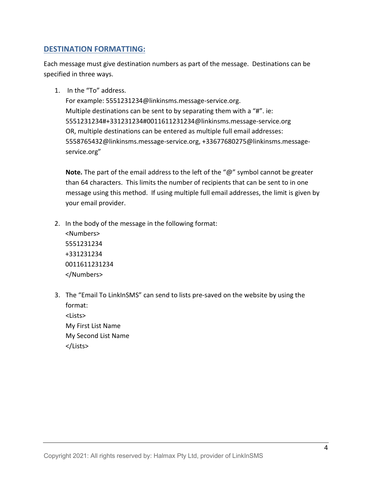# <span id="page-3-0"></span>**DESTINATION FORMATTING:**

Each message must give destination numbers as part of the message. Destinations can be specified in three ways.

1. In the "To" address.

</Numbers>

For example: 5551231234@linkinsms.message-service.org. Multiple destinations can be sent to by separating them with a "#". ie: 5551231234#+331231234#0011611231234@linkinsms.message-service.org OR, multiple destinations can be entered as multiple full email addresses: 5558765432@linkinsms.message-service.org, +33677680275@linkinsms.messageservice.org"

**Note.** The part of the email address to the left of the "@" symbol cannot be greater than 64 characters. This limits the number of recipients that can be sent to in one message using this method. If using multiple full email addresses, the limit is given by your email provider.

- 2. In the body of the message in the following format: <Numbers> 5551231234 +331231234 0011611231234
- 3. The "Email To LinkInSMS" can send to lists pre-saved on the website by using the format: <Lists> My First List Name My Second List Name </Lists>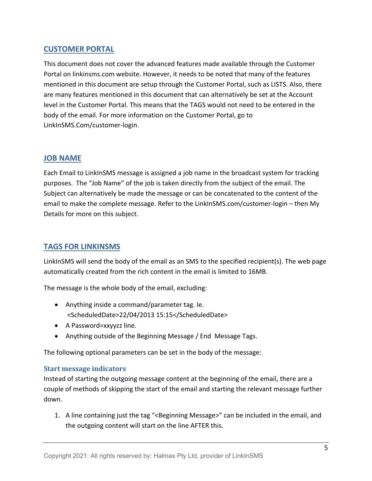# <span id="page-4-0"></span>**CUSTOMER PORTAL**

This document does not cover the advanced features made available through the Customer Portal on linkinsms.com website. However, it needs to be noted that many of the features mentioned in this document are setup through the Customer Portal, such as LISTS. Also, there are many features mentioned in this document that can alternatively be set at the Account level in the Customer Portal. This means that the TAGS would not need to be entered in the body of the email. For more information on the Customer Portal, go to LinkInSMS.Com/customer-login.

# <span id="page-4-1"></span>**JOB NAME**

Each Email to LinkInSMS message is assigned a job name in the broadcast system for tracking purposes. The "Job Name" of the job is taken directly from the subject of the email. The Subject can alternatively be made the message or can be concatenated to the content of the email to make the complete message. Refer to the LinkInSMS.com/customer-login – then My Details for more on this subject.

# <span id="page-4-2"></span>**TAGS FOR LINKINSMS**

LinkInSMS will send the body of the email as an SMS to the specified recipient(s). The web page automatically created from the rich content in the email is limited to 16MB.

The message is the whole body of the email, excluding:

- Anything inside a command/parameter tag. Ie. <ScheduledDate>22/04/2013 15:15</ScheduledDate>
- A Password=xxyyzz line.
- Anything outside of the Beginning Message / End Message Tags.

The following optional parameters can be set in the body of the message:

## **Start message indicators**

Instead of starting the outgoing message content at the beginning of the email, there are a couple of methods of skipping the start of the email and starting the relevant message further down.

1. A line containing just the tag "<Beginning Message>" can be included in the email, and the outgoing content will start on the line AFTER this.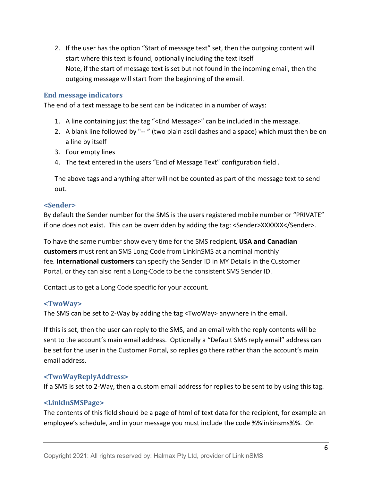2. If the user has the option "Start of message text" set, then the outgoing content will start where this text is found, optionally including the text itself Note, if the start of message text is set but not found in the incoming email, then the outgoing message will start from the beginning of the email.

#### **End message indicators**

The end of a text message to be sent can be indicated in a number of ways:

- 1. A line containing just the tag "<End Message>" can be included in the message.
- 2. A blank line followed by "-- " (two plain ascii dashes and a space) which must then be on a line by itself
- 3. Four empty lines
- 4. The text entered in the users "End of Message Text" configuration field .

The above tags and anything after will not be counted as part of the message text to send out.

#### **<Sender>**

By default the Sender number for the SMS is the users registered mobile number or "PRIVATE" if one does not exist. This can be overridden by adding the tag: <Sender>XXXXXXX</Sender>.

To have the same number show every time for the SMS recipient, **USA and Canadian customers** must rent an SMS Long-Code from LinkInSMS at a nominal monthly fee. **International customers** can specify the Sender ID in MY Details in the Customer Portal, or they can also rent a Long-Code to be the consistent SMS Sender ID.

Contact us to get a Long Code specific for your account.

#### **<TwoWay>**

The SMS can be set to 2-Way by adding the tag <TwoWay> anywhere in the email.

If this is set, then the user can reply to the SMS, and an email with the reply contents will be sent to the account's main email address. Optionally a "Default SMS reply email" address can be set for the user in the Customer Portal, so replies go there rather than the account's main email address.

#### **<TwoWayReplyAddress>**

If a SMS is set to 2-Way, then a custom email address for replies to be sent to by using this tag.

#### **<LinkInSMSPage>**

The contents of this field should be a page of html of text data for the recipient, for example an employee's schedule, and in your message you must include the code %%linkinsms%%. On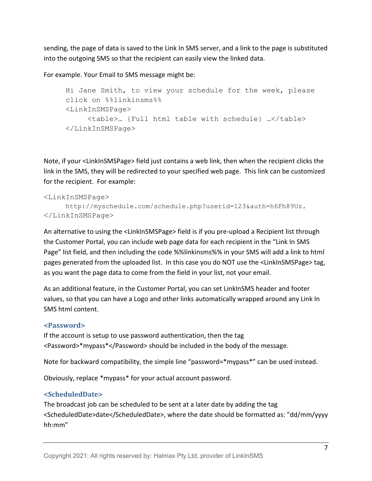sending, the page of data is saved to the Link In SMS server, and a link to the page is substituted into the outgoing SMS so that the recipient can easily view the linked data.

For example. Your Email to SMS message might be:

```
Hi Jane Smith, to view your schedule for the week, please 
click on %%linkinsms%%
<LinkInSMSPage>
     <table>… {Full html table with schedule} …</table>
</LinkInSMSPage>
```
Note, if your <LinkInSMSPage> field just contains a web link, then when the recipient clicks the link in the SMS, they will be redirected to your specified web page. This link can be customized for the recipient. For example:

#### <LinkInSMSPage>

```
http://myschedule.com/schedule.php?userid=123&auth=h6Fh89Uz.
</LinkInSMSPage>
```
An alternative to using the <LinkInSMSPage> field is if you pre-upload a Recipient list through the Customer Portal, you can include web page data for each recipient in the "Link In SMS Page" list field, and then including the code %%linkinsms%% in your SMS will add a link to html pages generated from the uploaded list. In this case you do NOT use the <LinkInSMSPage> tag, as you want the page data to come from the field in your list, not your email.

As an additional feature, in the Customer Portal, you can set LinkInSMS header and footer values, so that you can have a Logo and other links automatically wrapped around any Link In SMS html content.

#### **<Password>**

If the account is setup to use password authentication, then the tag <Password>\*mypass\*</Password> should be included in the body of the message.

Note for backward compatibility, the simple line "password=\*mypass\*" can be used instead.

Obviously, replace \*mypass\* for your actual account password.

## **<ScheduledDate>**

The broadcast job can be scheduled to be sent at a later date by adding the tag <ScheduledDate>date</ScheduledDate>, where the date should be formatted as: "dd/mm/yyyy hh:mm"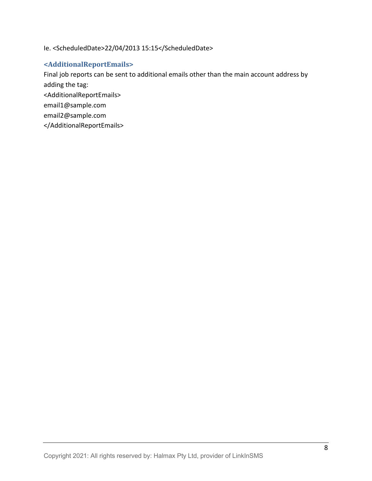#### Ie. <ScheduledDate>22/04/2013 15:15</ScheduledDate>

## **<AdditionalReportEmails>**

Final job reports can be sent to additional emails other than the main account address by adding the tag:

<AdditionalReportEmails>

email1@sample.com

email2@sample.com

</AdditionalReportEmails>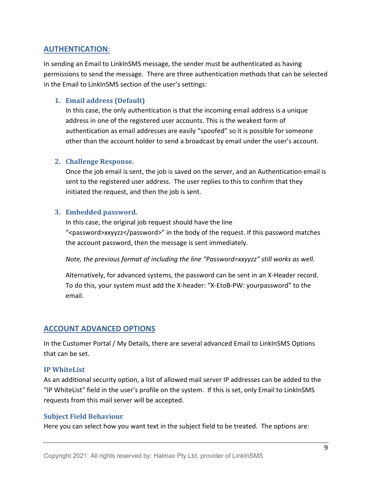# <span id="page-8-0"></span>**AUTHENTICATION**:

In sending an Email to LinkInSMS message, the sender must be authenticated as having permissions to send the message. There are three authentication methods that can be selected in the Email to LinkInSMS section of the user's settings:

### **1. Email address (Default)**

In this case, the only authentication is that the incoming email address is a unique address in one of the registered user accounts. This is the weakest form of authentication as email addresses are easily "spoofed" so it is possible for someone other than the account holder to send a broadcast by email under the user's account.

#### **2. Challenge Response.**

Once the job email is sent, the job is saved on the server, and an Authentication email is sent to the registered user address. The user replies to this to confirm that they initiated the request, and then the job is sent.

#### **3. Embedded password.**

In this case, the original job request should have the line "<password>xxyyzz</password>" in the body of the request. If this password matches the account password, then the message is sent immediately.

*Note, the previous format of including the line "Password=xxyyzz" still works as well.*

Alternatively, for advanced systems, the password can be sent in an X-Header record. To do this, your system must add the X-header: "X-EtoB-PW: yourpassword" to the email.

## <span id="page-8-1"></span>**ACCOUNT ADVANCED OPTIONS**

In the Customer Portal / My Details, there are several advanced Email to LinkInSMS Options that can be set.

#### **IP WhiteList**

As an additional security option, a list of allowed mail server IP addresses can be added to the "IP WhiteList" field in the user's profile on the system. If this is set, only Email to LinkInSMS requests from this mail server will be accepted.

#### **Subject Field Behaviour**

Here you can select how you want text in the subject field to be treated. The options are: